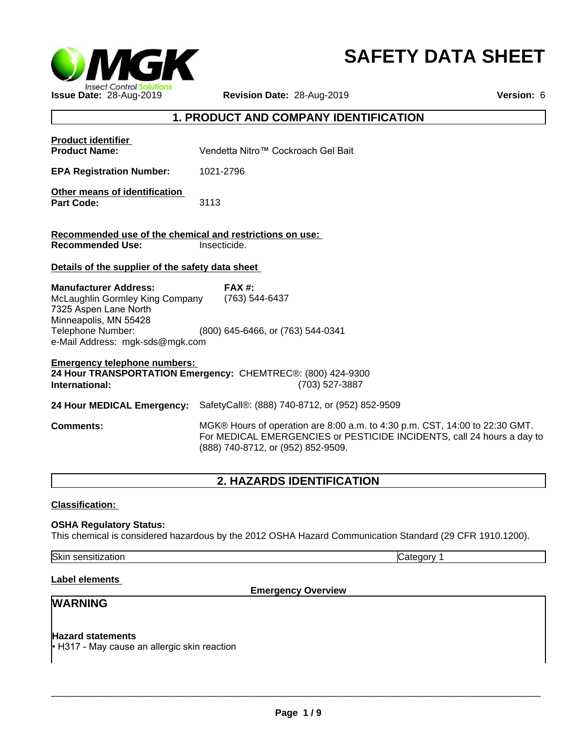

# **SAFETY DATA SHEET**

|                                                                                          |                                                                                                                                                                                             | <b>SAFETY DATA SHEET</b> |
|------------------------------------------------------------------------------------------|---------------------------------------------------------------------------------------------------------------------------------------------------------------------------------------------|--------------------------|
| <b>MGK</b>                                                                               |                                                                                                                                                                                             |                          |
| <b>Insect Control Solutions</b><br>Issue Date: 28-Aug-2019                               | Revision Date: 28-Aug-2019                                                                                                                                                                  | Version: 6               |
|                                                                                          | 1. PRODUCT AND COMPANY IDENTIFICATION                                                                                                                                                       |                          |
| <b>Product identifier</b><br><b>Product Name:</b>                                        | Vendetta Nitro™ Cockroach Gel Bait                                                                                                                                                          |                          |
| <b>EPA Registration Number:</b>                                                          | 1021-2796                                                                                                                                                                                   |                          |
| Other means of identification<br><b>Part Code:</b>                                       | 3113                                                                                                                                                                                        |                          |
| Recommended use of the chemical and restrictions on use:<br><b>Recommended Use:</b>      | Insecticide.                                                                                                                                                                                |                          |
| Details of the supplier of the safety data sheet                                         |                                                                                                                                                                                             |                          |
| <b>Manufacturer Address:</b><br>McLaughlin Gormley King Company<br>7325 Aspen Lane North | <b>FAX#:</b><br>(763) 544-6437                                                                                                                                                              |                          |
| Minneapolis, MN 55428<br>Telephone Number:<br>e-Mail Address: mgk-sds@mgk.com            | (800) 645-6466, or (763) 544-0341                                                                                                                                                           |                          |
| <b>Emergency telephone numbers:</b><br>International:                                    | 24 Hour TRANSPORTATION Emergency: CHEMTREC®: (800) 424-9300<br>(703) 527-3887                                                                                                               |                          |
| 24 Hour MEDICAL Emergency:                                                               | SafetyCall®: (888) 740-8712, or (952) 852-9509                                                                                                                                              |                          |
| <b>Comments:</b>                                                                         | MGK® Hours of operation are 8:00 a.m. to 4:30 p.m. CST, 14:00 to 22:30 GMT.<br>For MEDICAL EMERGENCIES or PESTICIDE INCIDENTS, call 24 hours a day to<br>(888) 740-8712, or (952) 852-9509. |                          |
|                                                                                          | 2. HAZARDS IDENTIFICATION                                                                                                                                                                   |                          |
| <b>Classification:</b>                                                                   |                                                                                                                                                                                             |                          |
| <b>OSHA Requiatory Status:</b>                                                           |                                                                                                                                                                                             |                          |

### **Classification:**

#### **OSHA Regulatory Status:**

This chemical is considered hazardous by the 2012 OSHA Hazard Communication Standard (29 CFR 1910.1200).

Skin sensitization **Category 1 Category 1** 

#### **Label elements**

**Emergency Overview**

# **WARNING**

#### **Hazard statements**

• H317 - May cause an allergic skin reaction

 $\Box$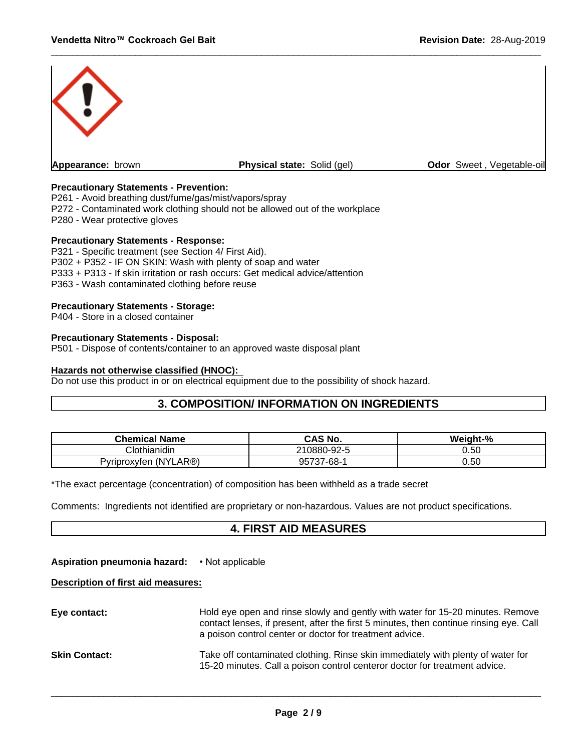

#### **Precautionary Statements - Prevention:**

P261 - Avoid breathing dust/fume/gas/mist/vapors/spray

- P272 Contaminated work clothing should not be allowed out of the workplace
- P280 Wear protective gloves

#### **Precautionary Statements - Response:**

P321 - Specific treatment (see Section 4/ First Aid). P302 + P352 - IF ON SKIN: Wash with plenty of soap and water P333 + P313 - If skin irritation or rash occurs: Get medical advice/attention P363 - Wash contaminated clothing before reuse

#### **Precautionary Statements - Storage:**

P404 - Store in a closed container

#### **Precautionary Statements - Disposal:**

P501 - Dispose of contents/container to an approved waste disposal plant

#### **Hazards not otherwise classified (HNOC):**

Do not use this product in or on electrical equipment due to the possibility of shock hazard.

# **3. COMPOSITION/ INFORMATION ON INGREDIENTS**

| <b>Chemical Name</b>             | <b>CAS No.</b>                                     | $-%$<br>Weight- |
|----------------------------------|----------------------------------------------------|-----------------|
| Clothianidin                     | 210880-92-5                                        | 0.50            |
| AR®)<br>.ı (NY')<br>Pvriproxvfen | 7-68-<br>$\overline{\phantom{a}}$<br>ΩĽ.<br>וט וטכ | 0.50            |

\*The exact percentage (concentration) of composition has been withheld as a trade secret

Comments: Ingredients not identified are proprietary or non-hazardous. Values are not product specifications.

# **4. FIRST AID MEASURES**

#### **Aspiration pneumonia hazard:** • Not applicable

#### **Description of first aid measures:**

| Eye contact:         | Hold eye open and rinse slowly and gently with water for 15-20 minutes. Remove<br>contact lenses, if present, after the first 5 minutes, then continue rinsing eye. Call<br>a poison control center or doctor for treatment advice. |
|----------------------|-------------------------------------------------------------------------------------------------------------------------------------------------------------------------------------------------------------------------------------|
| <b>Skin Contact:</b> | Take off contaminated clothing. Rinse skin immediately with plenty of water for<br>15-20 minutes. Call a poison control centeror doctor for treatment advice.                                                                       |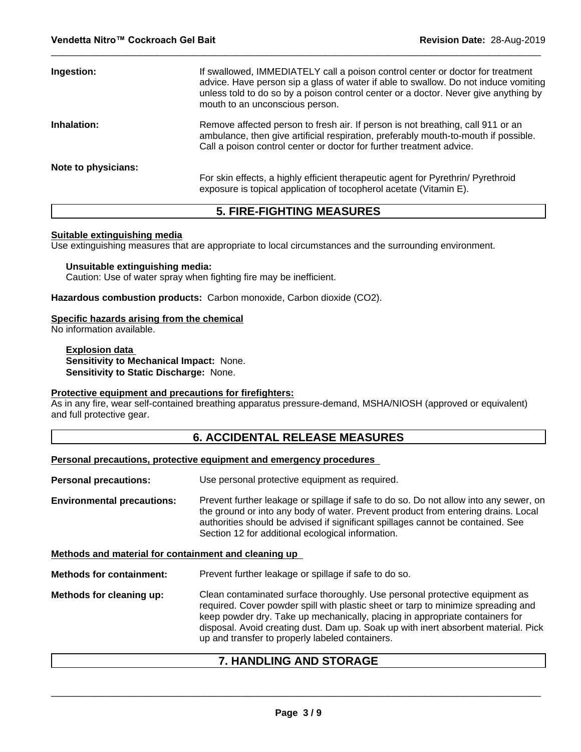| Ingestion:          | If swallowed, IMMEDIATELY call a poison control center or doctor for treatment<br>advice. Have person sip a glass of water if able to swallow. Do not induce vomiting<br>unless told to do so by a poison control center or a doctor. Never give anything by<br>mouth to an unconscious person. |
|---------------------|-------------------------------------------------------------------------------------------------------------------------------------------------------------------------------------------------------------------------------------------------------------------------------------------------|
| Inhalation:         | Remove affected person to fresh air. If person is not breathing, call 911 or an<br>ambulance, then give artificial respiration, preferably mouth-to-mouth if possible.<br>Call a poison control center or doctor for further treatment advice.                                                  |
| Note to physicians: | For skin effects, a highly efficient therapeutic agent for Pyrethrin/ Pyrethroid                                                                                                                                                                                                                |
|                     | exposure is topical application of tocopherol acetate (Vitamin E).                                                                                                                                                                                                                              |

# **5. FIRE-FIGHTING MEASURES**

#### **Suitable extinguishing media**

Use extinguishing measures that are appropriate to local circumstances and the surrounding environment.

#### **Unsuitable extinguishing media:**

Caution: Use of water spray when fighting fire may be inefficient.

**Hazardous combustion products:** Carbon monoxide, Carbon dioxide (CO2).

#### **Specific hazards arising from the chemical**

No information available.

**Explosion data Sensitivity to Mechanical Impact:** None. **Sensitivity to Static Discharge:** None.

#### **Protective equipment and precautions for firefighters:**

As in any fire, wear self-contained breathing apparatus pressure-demand, MSHA/NIOSH (approved or equivalent) and full protective gear.

#### **6. ACCIDENTAL RELEASE MEASURES**

#### **Personal precautions, protective equipment and emergency procedures**

**Personal precautions:** Use personal protective equipment as required.

**Environmental precautions:** Prevent further leakage or spillage if safe to do so. Do not allow into any sewer, on the ground or into any body of water. Prevent product from entering drains. Local authorities should be advised if significant spillages cannot be contained. See Section 12 for additional ecological information.

**Methods and material for containment and cleaning up**

**Methods for containment:** Prevent further leakage or spillage if safe to do so.

**Methods for cleaning up:** Clean contaminated surface thoroughly.Use personal protective equipment as required. Cover powder spill with plastic sheet or tarp to minimize spreading and keep powder dry. Take up mechanically, placing in appropriate containers for disposal. Avoid creating dust. Dam up. Soak up with inert absorbent material. Pick up and transfer to properly labeled containers.

# **7. HANDLING AND STORAGE**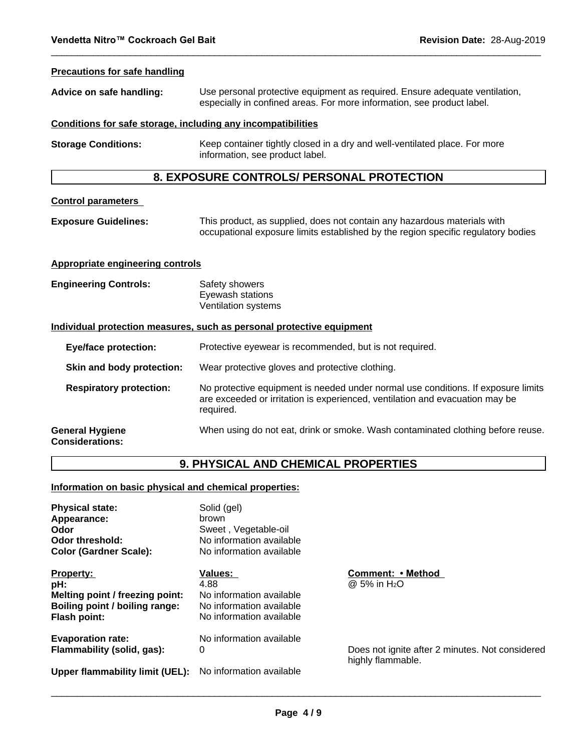#### **Precautions for safe handling**

| Advice on safe handling:                                              | Use personal protective equipment as required. Ensure adequate ventilation,<br>especially in confined areas. For more information, see product label.         |  |  |  |
|-----------------------------------------------------------------------|---------------------------------------------------------------------------------------------------------------------------------------------------------------|--|--|--|
|                                                                       | Conditions for safe storage, including any incompatibilities                                                                                                  |  |  |  |
| <b>Storage Conditions:</b>                                            | Keep container tightly closed in a dry and well-ventilated place. For more<br>information, see product label.                                                 |  |  |  |
|                                                                       | 8. EXPOSURE CONTROLS/ PERSONAL PROTECTION                                                                                                                     |  |  |  |
| <b>Control parameters</b>                                             |                                                                                                                                                               |  |  |  |
| <b>Exposure Guidelines:</b>                                           | This product, as supplied, does not contain any hazardous materials with<br>occupational exposure limits established by the region specific regulatory bodies |  |  |  |
| <b>Appropriate engineering controls</b>                               |                                                                                                                                                               |  |  |  |
| <b>Engineering Controls:</b>                                          | Safety showers<br>Eyewash stations<br>Ventilation systems                                                                                                     |  |  |  |
| Individual protection measures, such as personal protective equipment |                                                                                                                                                               |  |  |  |
| <b>Eye/face protection:</b>                                           | Protective eyewear is recommended, but is not required.                                                                                                       |  |  |  |
| Skin and body protection:                                             | Wear protective gloves and protective clothing.                                                                                                               |  |  |  |

**Respiratory protection:** No protective equipment is needed under normal use conditions. If exposure limits are exceeded or irritation is experienced, ventilation and evacuation may be required.

#### **General Hygiene Considerations:** When using do not eat, drink or smoke. Wash contaminated clothing before reuse.

# **9. PHYSICAL AND CHEMICAL PROPERTIES**

#### **Information on basic physical and chemical properties:**

| <b>Physical state:</b><br>Appearance:<br>Odor<br>Odor threshold:<br><b>Color (Gardner Scale):</b>            | Solid (gel)<br>brown<br>Sweet, Vegetable-oil<br>No information available<br>No information available       |                                                                      |
|--------------------------------------------------------------------------------------------------------------|------------------------------------------------------------------------------------------------------------|----------------------------------------------------------------------|
| <b>Property:</b><br>pH:<br>Melting point / freezing point:<br>Boiling point / boiling range:<br>Flash point: | <b>Values:</b><br>4.88<br>No information available<br>No information available<br>No information available | Comment: • Method<br>$@5\%$ in H <sub>2</sub> O                      |
| <b>Evaporation rate:</b><br>Flammability (solid, gas):                                                       | No information available<br>0                                                                              | Does not ignite after 2 minutes. Not considered<br>highly flammable. |
| Upper flammability limit (UEL):                                                                              | No information available                                                                                   |                                                                      |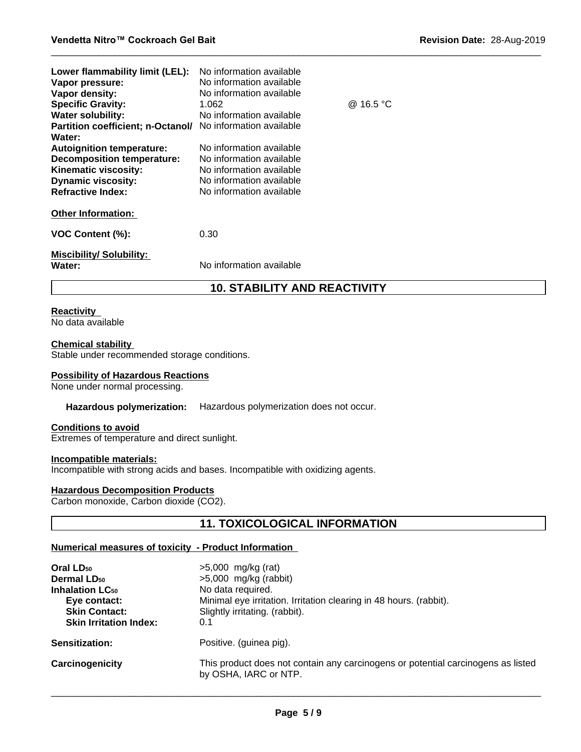| Lower flammability limit (LEL):<br>Vapor pressure:<br>Vapor density:<br><b>Specific Gravity:</b><br><b>Water solubility:</b><br>Partition coefficient; n-Octanol/ No information available<br>Water:<br><b>Autoignition temperature:</b><br><b>Decomposition temperature:</b><br>Kinematic viscosity:<br><b>Dynamic viscosity:</b><br><b>Refractive Index:</b> | No information available<br>No information available<br>No information available<br>1.062<br>No information available<br>No information available<br>No information available<br>No information available<br>No information available<br>No information available | @ 16.5 °C |
|----------------------------------------------------------------------------------------------------------------------------------------------------------------------------------------------------------------------------------------------------------------------------------------------------------------------------------------------------------------|-------------------------------------------------------------------------------------------------------------------------------------------------------------------------------------------------------------------------------------------------------------------|-----------|
| <b>Other Information:</b>                                                                                                                                                                                                                                                                                                                                      |                                                                                                                                                                                                                                                                   |           |
| VOC Content (%):                                                                                                                                                                                                                                                                                                                                               | 0.30                                                                                                                                                                                                                                                              |           |
| <b>Miscibility/Solubility:</b><br>Water:                                                                                                                                                                                                                                                                                                                       | No information available                                                                                                                                                                                                                                          |           |

# **10. STABILITY AND REACTIVITY**

#### **Reactivity**

No data available

### **Chemical stability**

Stable under recommended storage conditions.

#### **Possibility of Hazardous Reactions**

None under normal processing.

#### **Hazardous polymerization:** Hazardous polymerization does not occur.

#### **Conditions to avoid**

Extremes of temperature and direct sunlight.

#### **Incompatible materials:**

Incompatible with strong acids and bases. Incompatible with oxidizing agents.

### **Hazardous Decomposition Products**

Carbon monoxide, Carbon dioxide (CO2).

# **11. TOXICOLOGICAL INFORMATION**

#### **Numerical measures of toxicity - Product Information**

| Oral LD <sub>50</sub><br><b>Dermal LD<sub>50</sub></b><br><b>Inhalation LC<sub>50</sub></b><br>Eye contact:<br><b>Skin Contact:</b><br><b>Skin Irritation Index:</b> | $>5,000$ mg/kg (rat)<br>$>5,000$ mg/kg (rabbit)<br>No data required.<br>Minimal eye irritation. Irritation clearing in 48 hours. (rabbit).<br>Slightly irritating. (rabbit).<br>0.1 |
|----------------------------------------------------------------------------------------------------------------------------------------------------------------------|-------------------------------------------------------------------------------------------------------------------------------------------------------------------------------------|
| <b>Sensitization:</b>                                                                                                                                                | Positive. (guinea pig).                                                                                                                                                             |
| Carcinogenicity                                                                                                                                                      | This product does not contain any carcinogens or potential carcinogens as listed<br>by OSHA, IARC or NTP.                                                                           |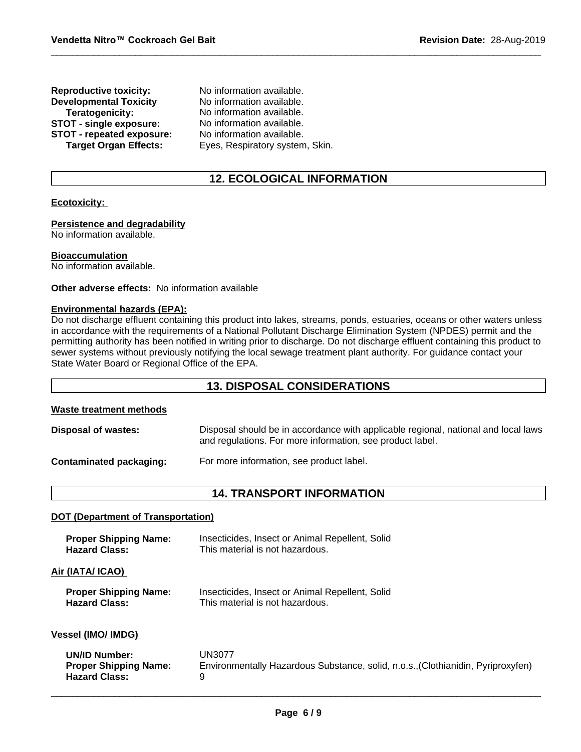| <b>Reproductive toxicity:</b> | No information available.       |
|-------------------------------|---------------------------------|
| <b>Developmental Toxicity</b> | No information available.       |
| Teratogenicity:               | No information available.       |
| STOT - single exposure:       | No information available.       |
| STOT - repeated exposure:     | No information available.       |
| <b>Target Organ Effects:</b>  | Eyes, Respiratory system, Skin. |

# **12. ECOLOGICAL INFORMATION**

#### **Ecotoxicity:**

#### **Persistence and degradability**

No information available.

#### **Bioaccumulation**

No information available.

#### **Other adverse effects:** No information available

#### **Environmental hazards (EPA):**

Do not discharge effluent containing this product into lakes, streams, ponds, estuaries, oceans or other waters unless in accordance with the requirements of a National Pollutant Discharge Elimination System (NPDES) permit and the permitting authority has been notified in writing prior to discharge. Do not discharge effluent containing this product to sewer systems without previously notifying the local sewage treatment plant authority. For guidance contact your State Water Board or Regional Office of the EPA.

### **13. DISPOSAL CONSIDERATIONS**

#### **Waste treatment methods**

| <b>Disposal of wastes:</b>     | Disposal should be in accordance with applicable regional, national and local laws<br>and regulations. For more information, see product label. |
|--------------------------------|-------------------------------------------------------------------------------------------------------------------------------------------------|
| <b>Contaminated packaging:</b> | For more information, see product label.                                                                                                        |

#### **14. TRANSPORT INFORMATION**

#### **DOT (Department of Transportation)**

| <b>Proper Shipping Name:</b> | Insecticides, Insect or Animal Repellent, Solid                                  |
|------------------------------|----------------------------------------------------------------------------------|
| <b>Hazard Class:</b>         | This material is not hazardous.                                                  |
| Air (IATA/ ICAO)             |                                                                                  |
| <b>Proper Shipping Name:</b> | Insecticides, Insect or Animal Repellent, Solid                                  |
| <b>Hazard Class:</b>         | This material is not hazardous.                                                  |
| Vessel (IMO/ IMDG)           |                                                                                  |
| <b>UN/ID Number:</b>         | UN3077                                                                           |
| <b>Proper Shipping Name:</b> | Environmentally Hazardous Substance, solid, n.o.s., (Clothianidin, Pyriproxyfen) |
| <b>Hazard Class:</b>         | 9                                                                                |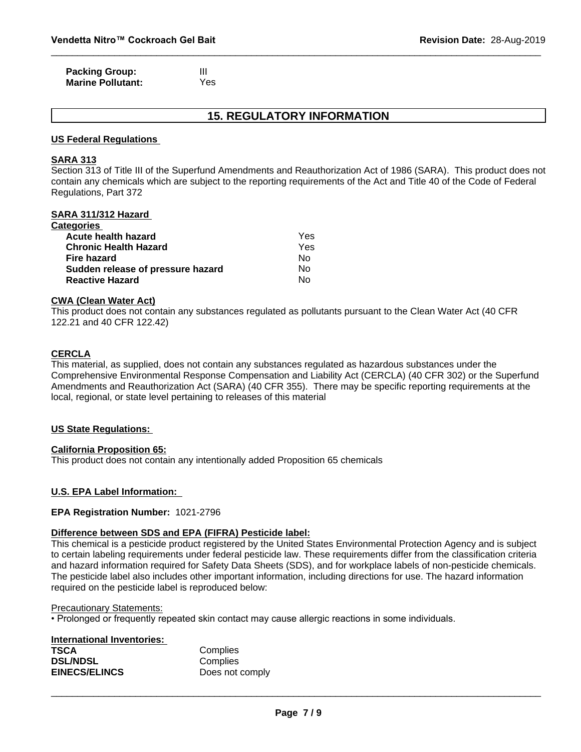| <b>Packing Group:</b>    |     |
|--------------------------|-----|
| <b>Marine Pollutant:</b> | Yes |

# **15. REGULATORY INFORMATION**

#### **US Federal Regulations**

#### **SARA 313**

Section 313 of Title III of the Superfund Amendments and Reauthorization Act of 1986 (SARA). This product does not contain any chemicals which are subject to the reporting requirements of the Act and Title 40 of the Code of Federal Regulations, Part 372

#### **SARA 311/312 Hazard**

| Yes |  |
|-----|--|
| Yes |  |
| Nο  |  |
| No  |  |
| No  |  |
|     |  |

#### **CWA (Clean Water Act)**

This product does not contain any substances regulated as pollutants pursuant to the Clean Water Act (40 CFR 122.21 and 40 CFR 122.42)

#### **CERCLA**

This material, as supplied, does not contain any substances regulated as hazardous substances under the Comprehensive Environmental Response Compensation and Liability Act (CERCLA) (40 CFR 302) or the Superfund Amendments and Reauthorization Act (SARA) (40 CFR 355). There may be specific reporting requirements at the local, regional, or state level pertaining to releases of this material

#### **US State Regulations:**

#### **California Proposition 65:**

This product does not contain any intentionally added Proposition 65 chemicals

#### **U.S. EPA Label Information:**

#### **EPA Registration Number:** 1021-2796

#### **Difference between SDS and EPA (FIFRA) Pesticide label:**

This chemical is a pesticide product registered by the United States Environmental Protection Agency and is subject to certain labeling requirements under federal pesticide law. These requirements differ from the classification criteria and hazard information required for Safety Data Sheets (SDS), and for workplace labels of non-pesticide chemicals. The pesticide label also includes other important information, including directions for use. The hazard information required on the pesticide label is reproduced below:

#### Precautionary Statements:

• Prolonged or frequently repeated skin contact may cause allergic reactions in some individuals.

| International Inventories: |                 |
|----------------------------|-----------------|
| <b>TSCA</b>                | Complies        |
| <b>DSL/NDSL</b>            | Complies        |
| <b>EINECS/ELINCS</b>       | Does not comply |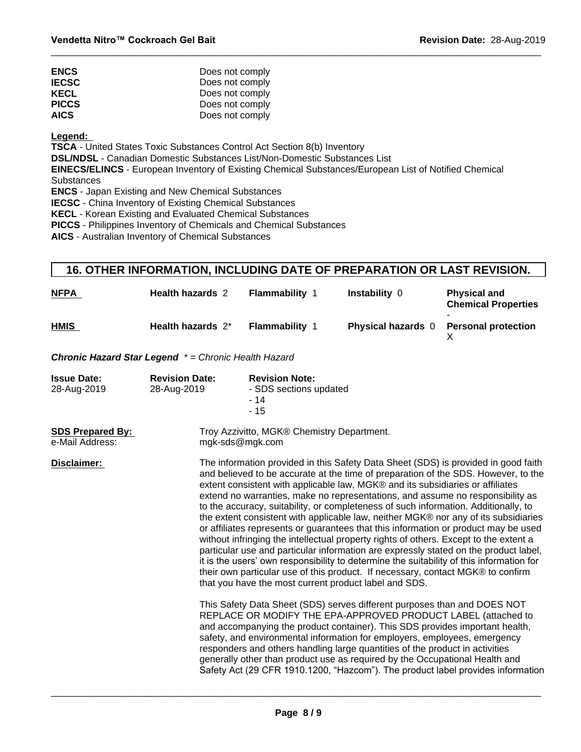| <b>ENCS</b>  | Does not comply |
|--------------|-----------------|
| <b>IECSC</b> | Does not comply |
| <b>KECL</b>  | Does not comply |
| <b>PICCS</b> | Does not comply |
| <b>AICS</b>  | Does not comply |

#### **Legend:**

**TSCA** - United States Toxic Substances Control Act Section 8(b) Inventory

**DSL/NDSL** - Canadian Domestic Substances List/Non-Domestic Substances List

**EINECS/ELINCS** - European Inventory of Existing Chemical Substances/European List of Notified Chemical **Substances** 

**ENCS** - Japan Existing and New Chemical Substances

**IECSC** - China Inventory of Existing Chemical Substances

**KECL** - Korean Existing and Evaluated Chemical Substances

**PICCS** - Philippines Inventory of Chemicals and Chemical Substances

**AICS** - Australian Inventory of Chemical Substances

# **16. OTHER INFORMATION, INCLUDING DATE OF PREPARATION OR LAST REVISION.**

| <b>NFPA</b> | <b>Health hazards 2</b> | <b>Flammability</b>   | Instability 0             | <b>Physical and</b><br><b>Chemical Properties</b> |
|-------------|-------------------------|-----------------------|---------------------------|---------------------------------------------------|
| <b>HMIS</b> | Health hazards 2*       | <b>Flammability 1</b> | <b>Physical hazards</b> 0 | <b>Personal protection</b>                        |

*Chronic Hazard Star Legend \* = Chronic Health Hazard*

| <b>Issue Date:</b><br>28-Aug-2019          | <b>Revision Date:</b><br>28-Aug-2019                          | <b>Revision Note:</b><br>- SDS sections updated<br>- 14<br>$-15$                                                                                                                                                                                                                                                                                                                                                                                                                                                                                                                                                                                                                                                                                                                                                                                                                                                                                                                                                                                                                                                                                                                        |  |  |  |
|--------------------------------------------|---------------------------------------------------------------|-----------------------------------------------------------------------------------------------------------------------------------------------------------------------------------------------------------------------------------------------------------------------------------------------------------------------------------------------------------------------------------------------------------------------------------------------------------------------------------------------------------------------------------------------------------------------------------------------------------------------------------------------------------------------------------------------------------------------------------------------------------------------------------------------------------------------------------------------------------------------------------------------------------------------------------------------------------------------------------------------------------------------------------------------------------------------------------------------------------------------------------------------------------------------------------------|--|--|--|
| <b>SDS Prepared By:</b><br>e-Mail Address: | Troy Azzivitto, MGK® Chemistry Department.<br>mgk-sds@mgk.com |                                                                                                                                                                                                                                                                                                                                                                                                                                                                                                                                                                                                                                                                                                                                                                                                                                                                                                                                                                                                                                                                                                                                                                                         |  |  |  |
| Disclaimer:                                |                                                               | The information provided in this Safety Data Sheet (SDS) is provided in good faith<br>and believed to be accurate at the time of preparation of the SDS. However, to the<br>extent consistent with applicable law, MGK® and its subsidiaries or affiliates<br>extend no warranties, make no representations, and assume no responsibility as<br>to the accuracy, suitability, or completeness of such information. Additionally, to<br>the extent consistent with applicable law, neither MGK® nor any of its subsidiaries<br>or affiliates represents or guarantees that this information or product may be used<br>without infringing the intellectual property rights of others. Except to the extent a<br>particular use and particular information are expressly stated on the product label,<br>it is the users' own responsibility to determine the suitability of this information for<br>their own particular use of this product. If necessary, contact MGK® to confirm<br>that you have the most current product label and SDS.<br>This Safety Data Sheet (SDS) serves different purposes than and DOES NOT<br>REPLACE OR MODIFY THE EPA-APPROVED PRODUCT LABEL (attached to |  |  |  |
|                                            |                                                               | and accompanying the product container). This SDS provides important health,<br>safety, and environmental information for employers, employees, emergency<br>responders and others handling large quantities of the product in activities<br>generally other than product use as required by the Occupational Health and<br>Safety Act (29 CFR 1910.1200, "Hazcom"). The product label provides information                                                                                                                                                                                                                                                                                                                                                                                                                                                                                                                                                                                                                                                                                                                                                                             |  |  |  |